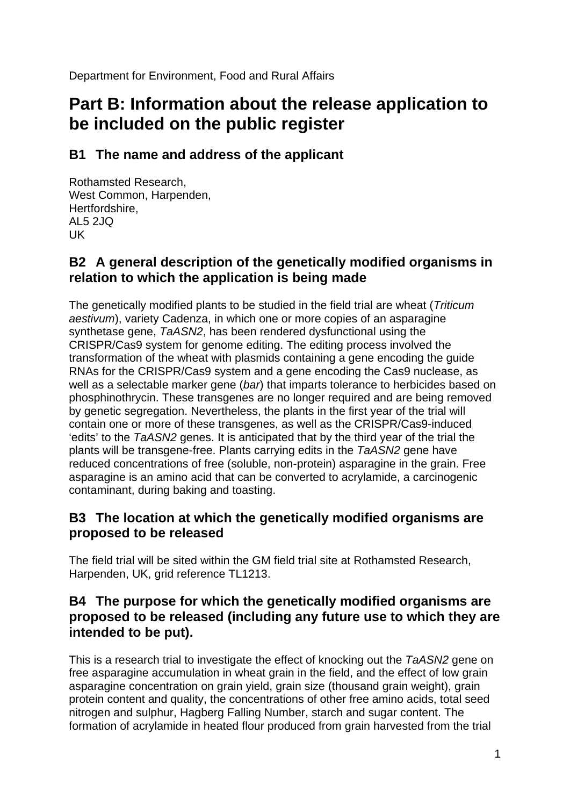Department for Environment, Food and Rural Affairs

# **Part B: Information about the release application to be included on the public register**

# **B1 The name and address of the applicant**

Rothamsted Research, West Common, Harpenden, Hertfordshire, AL5 2JQ UK

# **B2 A general description of the genetically modified organisms in relation to which the application is being made**

The genetically modified plants to be studied in the field trial are wheat (*Triticum aestivum*), variety Cadenza, in which one or more copies of an asparagine synthetase gene, *TaASN2*, has been rendered dysfunctional using the CRISPR/Cas9 system for genome editing. The editing process involved the transformation of the wheat with plasmids containing a gene encoding the guide RNAs for the CRISPR/Cas9 system and a gene encoding the Cas9 nuclease, as well as a selectable marker gene (*bar*) that imparts tolerance to herbicides based on phosphinothrycin. These transgenes are no longer required and are being removed by genetic segregation. Nevertheless, the plants in the first year of the trial will contain one or more of these transgenes, as well as the CRISPR/Cas9-induced 'edits' to the *TaASN2* genes. It is anticipated that by the third year of the trial the plants will be transgene-free. Plants carrying edits in the *TaASN2* gene have reduced concentrations of free (soluble, non-protein) asparagine in the grain. Free asparagine is an amino acid that can be converted to acrylamide, a carcinogenic contaminant, during baking and toasting.

# **B3 The location at which the genetically modified organisms are proposed to be released**

The field trial will be sited within the GM field trial site at Rothamsted Research, Harpenden, UK, grid reference TL1213.

# **B4 The purpose for which the genetically modified organisms are proposed to be released (including any future use to which they are intended to be put).**

This is a research trial to investigate the effect of knocking out the *TaASN2* gene on free asparagine accumulation in wheat grain in the field, and the effect of low grain asparagine concentration on grain yield, grain size (thousand grain weight), grain protein content and quality, the concentrations of other free amino acids, total seed nitrogen and sulphur, Hagberg Falling Number, starch and sugar content. The formation of acrylamide in heated flour produced from grain harvested from the trial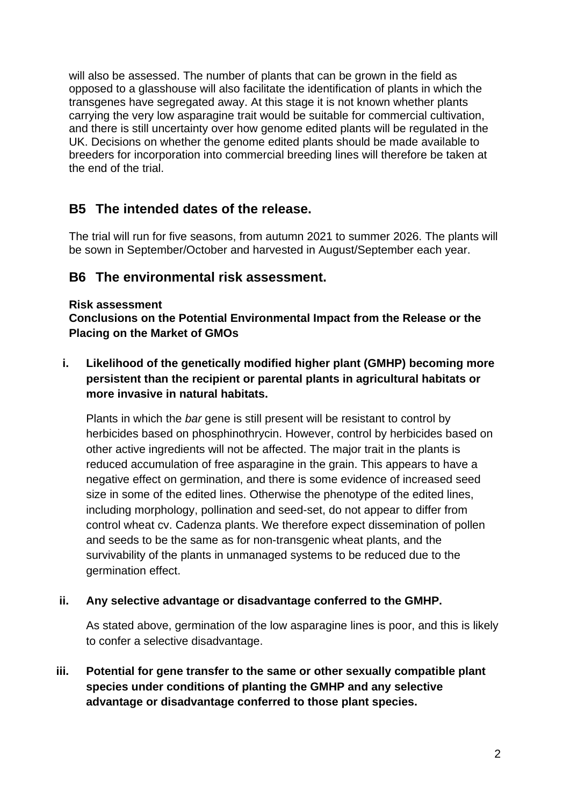will also be assessed. The number of plants that can be grown in the field as opposed to a glasshouse will also facilitate the identification of plants in which the transgenes have segregated away. At this stage it is not known whether plants carrying the very low asparagine trait would be suitable for commercial cultivation, and there is still uncertainty over how genome edited plants will be regulated in the UK. Decisions on whether the genome edited plants should be made available to breeders for incorporation into commercial breeding lines will therefore be taken at the end of the trial.

# **B5 The intended dates of the release.**

The trial will run for five seasons, from autumn 2021 to summer 2026. The plants will be sown in September/October and harvested in August/September each year.

# **B6 The environmental risk assessment.**

#### **Risk assessment**

**Conclusions on the Potential Environmental Impact from the Release or the Placing on the Market of GMOs**

**i. Likelihood of the genetically modified higher plant (GMHP) becoming more persistent than the recipient or parental plants in agricultural habitats or more invasive in natural habitats.**

Plants in which the *bar* gene is still present will be resistant to control by herbicides based on phosphinothrycin. However, control by herbicides based on other active ingredients will not be affected. The major trait in the plants is reduced accumulation of free asparagine in the grain. This appears to have a negative effect on germination, and there is some evidence of increased seed size in some of the edited lines. Otherwise the phenotype of the edited lines, including morphology, pollination and seed-set, do not appear to differ from control wheat cv. Cadenza plants. We therefore expect dissemination of pollen and seeds to be the same as for non-transgenic wheat plants, and the survivability of the plants in unmanaged systems to be reduced due to the germination effect.

#### **ii. Any selective advantage or disadvantage conferred to the GMHP.**

As stated above, germination of the low asparagine lines is poor, and this is likely to confer a selective disadvantage.

**iii. Potential for gene transfer to the same or other sexually compatible plant species under conditions of planting the GMHP and any selective advantage or disadvantage conferred to those plant species.**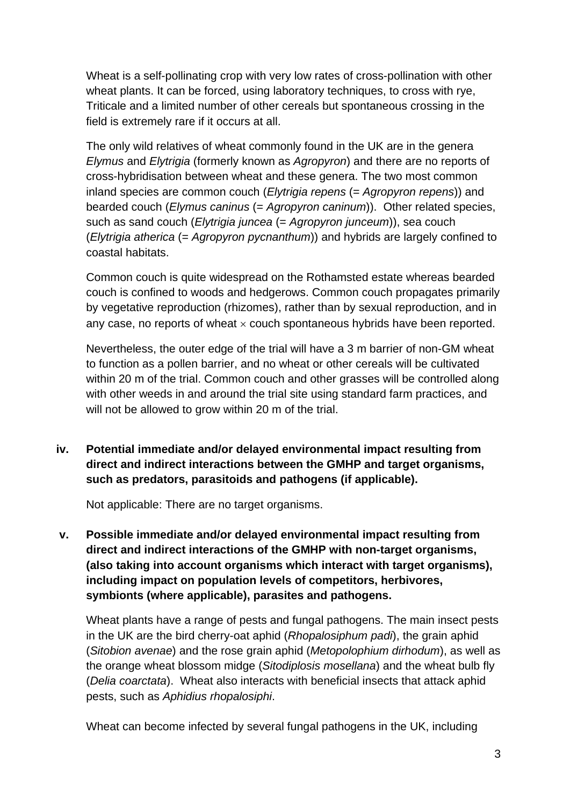Wheat is a self-pollinating crop with very low rates of cross-pollination with other wheat plants. It can be forced, using laboratory techniques, to cross with rye, Triticale and a limited number of other cereals but spontaneous crossing in the field is extremely rare if it occurs at all.

The only wild relatives of wheat commonly found in the UK are in the genera *Elymus* and *Elytrigia* (formerly known as *Agropyron*) and there are no reports of cross-hybridisation between wheat and these genera. The two most common inland species are common couch (*Elytrigia repens* (= *Agropyron repens*)) and bearded couch (*Elymus caninus* (= *Agropyron caninum*)). Other related species, such as sand couch (*Elytrigia juncea* (= *Agropyron junceum*)), sea couch (*Elytrigia atherica* (= *Agropyron pycnanthum*)) and hybrids are largely confined to coastal habitats.

Common couch is quite widespread on the Rothamsted estate whereas bearded couch is confined to woods and hedgerows. Common couch propagates primarily by vegetative reproduction (rhizomes), rather than by sexual reproduction, and in any case, no reports of wheat  $\times$  couch spontaneous hybrids have been reported.

Nevertheless, the outer edge of the trial will have a 3 m barrier of non-GM wheat to function as a pollen barrier, and no wheat or other cereals will be cultivated within 20 m of the trial. Common couch and other grasses will be controlled along with other weeds in and around the trial site using standard farm practices, and will not be allowed to grow within 20 m of the trial.

**iv. Potential immediate and/or delayed environmental impact resulting from direct and indirect interactions between the GMHP and target organisms, such as predators, parasitoids and pathogens (if applicable).**

Not applicable: There are no target organisms.

**v. Possible immediate and/or delayed environmental impact resulting from direct and indirect interactions of the GMHP with non-target organisms, (also taking into account organisms which interact with target organisms), including impact on population levels of competitors, herbivores, symbionts (where applicable), parasites and pathogens.**

Wheat plants have a range of pests and fungal pathogens. The main insect pests in the UK are the bird cherry-oat aphid (*Rhopalosiphum padi*), the grain aphid (*Sitobion avenae*) and the rose grain aphid (*Metopolophium dirhodum*), as well as the orange wheat blossom midge (*Sitodiplosis mosellana*) and the wheat bulb fly (*Delia coarctata*). Wheat also interacts with beneficial insects that attack aphid pests, such as *Aphidius rhopalosiphi*.

Wheat can become infected by several fungal pathogens in the UK, including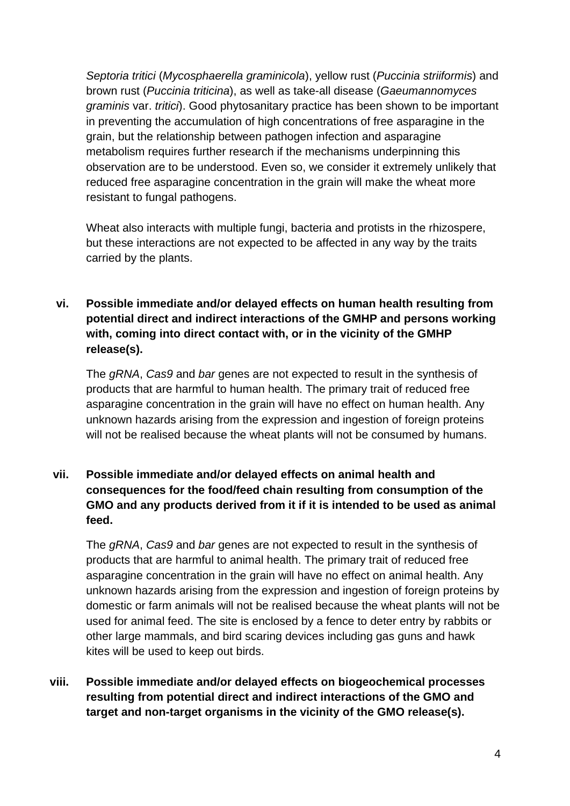*Septoria tritici* (*Mycosphaerella graminicola*), yellow rust (*Puccinia striiformis*) and brown rust (*Puccinia triticina*), as well as take-all disease (*Gaeumannomyces graminis* var. *tritici*). Good phytosanitary practice has been shown to be important in preventing the accumulation of high concentrations of free asparagine in the grain, but the relationship between pathogen infection and asparagine metabolism requires further research if the mechanisms underpinning this observation are to be understood. Even so, we consider it extremely unlikely that reduced free asparagine concentration in the grain will make the wheat more resistant to fungal pathogens.

Wheat also interacts with multiple fungi, bacteria and protists in the rhizospere, but these interactions are not expected to be affected in any way by the traits carried by the plants.

### **vi. Possible immediate and/or delayed effects on human health resulting from potential direct and indirect interactions of the GMHP and persons working with, coming into direct contact with, or in the vicinity of the GMHP release(s).**

The *gRNA*, *Cas9* and *bar* genes are not expected to result in the synthesis of products that are harmful to human health. The primary trait of reduced free asparagine concentration in the grain will have no effect on human health. Any unknown hazards arising from the expression and ingestion of foreign proteins will not be realised because the wheat plants will not be consumed by humans.

### **vii. Possible immediate and/or delayed effects on animal health and consequences for the food/feed chain resulting from consumption of the GMO and any products derived from it if it is intended to be used as animal feed.**

The *gRNA*, *Cas9* and *bar* genes are not expected to result in the synthesis of products that are harmful to animal health. The primary trait of reduced free asparagine concentration in the grain will have no effect on animal health. Any unknown hazards arising from the expression and ingestion of foreign proteins by domestic or farm animals will not be realised because the wheat plants will not be used for animal feed. The site is enclosed by a fence to deter entry by rabbits or other large mammals, and bird scaring devices including gas guns and hawk kites will be used to keep out birds.

### **viii. Possible immediate and/or delayed effects on biogeochemical processes resulting from potential direct and indirect interactions of the GMO and target and non-target organisms in the vicinity of the GMO release(s).**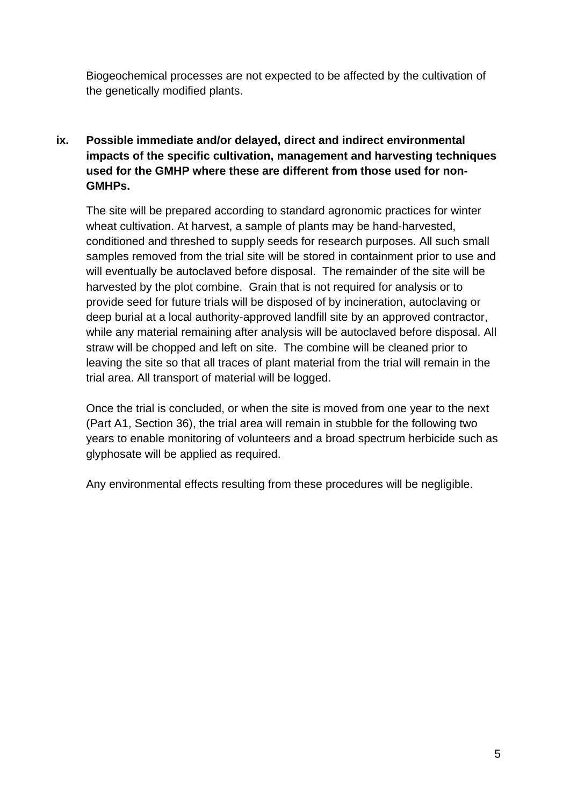Biogeochemical processes are not expected to be affected by the cultivation of the genetically modified plants.

### **ix. Possible immediate and/or delayed, direct and indirect environmental impacts of the specific cultivation, management and harvesting techniques used for the GMHP where these are different from those used for non-GMHPs.**

The site will be prepared according to standard agronomic practices for winter wheat cultivation. At harvest, a sample of plants may be hand-harvested, conditioned and threshed to supply seeds for research purposes. All such small samples removed from the trial site will be stored in containment prior to use and will eventually be autoclaved before disposal. The remainder of the site will be harvested by the plot combine. Grain that is not required for analysis or to provide seed for future trials will be disposed of by incineration, autoclaving or deep burial at a local authority-approved landfill site by an approved contractor, while any material remaining after analysis will be autoclaved before disposal. All straw will be chopped and left on site. The combine will be cleaned prior to leaving the site so that all traces of plant material from the trial will remain in the trial area. All transport of material will be logged.

Once the trial is concluded, or when the site is moved from one year to the next (Part A1, Section 36), the trial area will remain in stubble for the following two years to enable monitoring of volunteers and a broad spectrum herbicide such as glyphosate will be applied as required.

Any environmental effects resulting from these procedures will be negligible.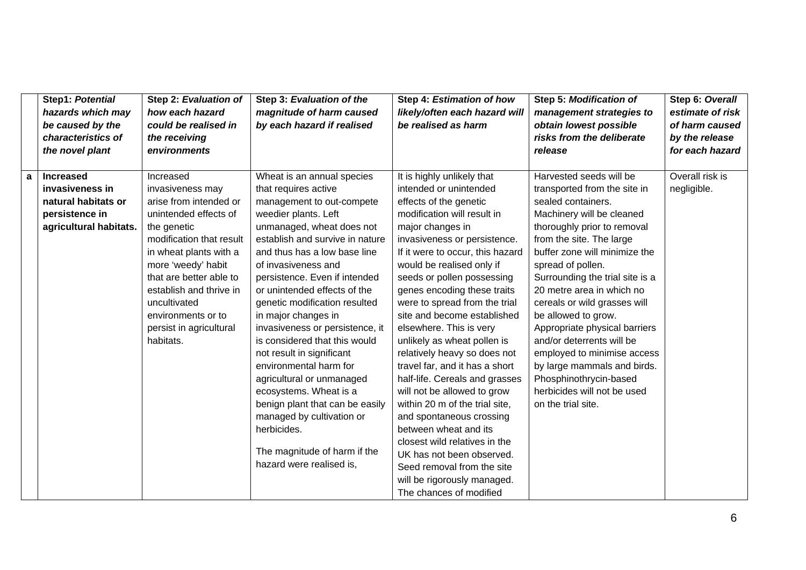|   | Step1: Potential       | Step 2: Evaluation of    | Step 3: Evaluation of the       | Step 4: Estimation of how        | Step 5: Modification of         | Step 6: Overall  |
|---|------------------------|--------------------------|---------------------------------|----------------------------------|---------------------------------|------------------|
|   | hazards which may      | how each hazard          | magnitude of harm caused        | likely/often each hazard will    | management strategies to        | estimate of risk |
|   | be caused by the       | could be realised in     | by each hazard if realised      | be realised as harm              | obtain lowest possible          | of harm caused   |
|   | characteristics of     | the receiving            |                                 |                                  | risks from the deliberate       | by the release   |
|   | the novel plant        | environments             |                                 |                                  | release                         | for each hazard  |
|   |                        |                          |                                 |                                  |                                 |                  |
| a | <b>Increased</b>       | Increased                | Wheat is an annual species      | It is highly unlikely that       | Harvested seeds will be         | Overall risk is  |
|   | invasiveness in        | invasiveness may         | that requires active            | intended or unintended           | transported from the site in    | negligible.      |
|   | natural habitats or    | arise from intended or   | management to out-compete       | effects of the genetic           | sealed containers.              |                  |
|   | persistence in         | unintended effects of    | weedier plants. Left            | modification will result in      | Machinery will be cleaned       |                  |
|   | agricultural habitats. | the genetic              | unmanaged, wheat does not       | major changes in                 | thoroughly prior to removal     |                  |
|   |                        | modification that result | establish and survive in nature | invasiveness or persistence.     | from the site. The large        |                  |
|   |                        | in wheat plants with a   | and thus has a low base line    | If it were to occur, this hazard | buffer zone will minimize the   |                  |
|   |                        | more 'weedy' habit       | of invasiveness and             | would be realised only if        | spread of pollen.               |                  |
|   |                        | that are better able to  | persistence. Even if intended   | seeds or pollen possessing       | Surrounding the trial site is a |                  |
|   |                        | establish and thrive in  | or unintended effects of the    | genes encoding these traits      | 20 metre area in which no       |                  |
|   |                        | uncultivated             | genetic modification resulted   | were to spread from the trial    | cereals or wild grasses will    |                  |
|   |                        | environments or to       | in major changes in             | site and become established      | be allowed to grow.             |                  |
|   |                        | persist in agricultural  | invasiveness or persistence, it | elsewhere. This is very          | Appropriate physical barriers   |                  |
|   |                        | habitats.                | is considered that this would   | unlikely as wheat pollen is      | and/or deterrents will be       |                  |
|   |                        |                          | not result in significant       | relatively heavy so does not     | employed to minimise access     |                  |
|   |                        |                          | environmental harm for          | travel far, and it has a short   | by large mammals and birds.     |                  |
|   |                        |                          | agricultural or unmanaged       | half-life. Cereals and grasses   | Phosphinothrycin-based          |                  |
|   |                        |                          | ecosystems. Wheat is a          | will not be allowed to grow      | herbicides will not be used     |                  |
|   |                        |                          | benign plant that can be easily | within 20 m of the trial site,   | on the trial site.              |                  |
|   |                        |                          | managed by cultivation or       | and spontaneous crossing         |                                 |                  |
|   |                        |                          | herbicides.                     | between wheat and its            |                                 |                  |
|   |                        |                          |                                 | closest wild relatives in the    |                                 |                  |
|   |                        |                          | The magnitude of harm if the    | UK has not been observed.        |                                 |                  |
|   |                        |                          | hazard were realised is,        | Seed removal from the site       |                                 |                  |
|   |                        |                          |                                 | will be rigorously managed.      |                                 |                  |
|   |                        |                          |                                 | The chances of modified          |                                 |                  |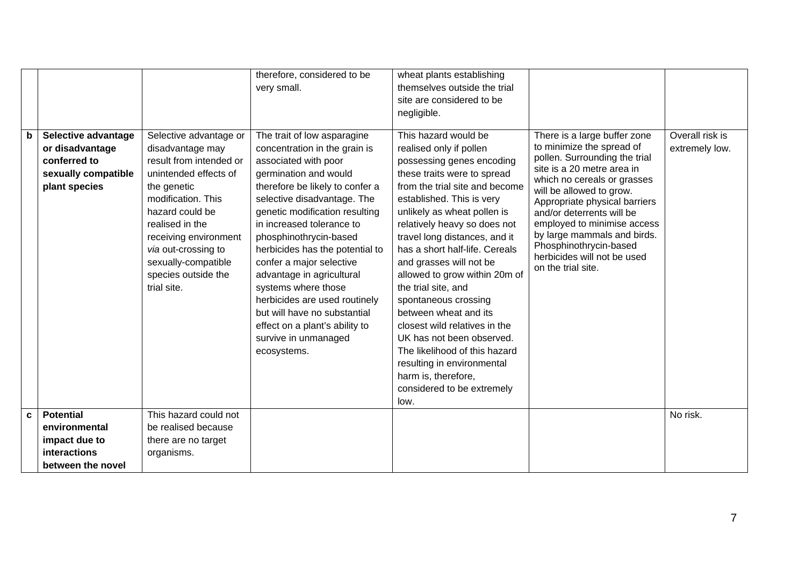|    |                                                                                                |                                                                                                                                                                                                                                                                                        | therefore, considered to be<br>very small.                                                                                                                                                                                                                                                                                                                                                                                                                                                                                            | wheat plants establishing<br>themselves outside the trial<br>site are considered to be<br>negligible.                                                                                                                                                                                                                                                                                                                                                                                                                                                                                                                                      |                                                                                                                                                                                                                                                                                                                                                                                                |                                   |
|----|------------------------------------------------------------------------------------------------|----------------------------------------------------------------------------------------------------------------------------------------------------------------------------------------------------------------------------------------------------------------------------------------|---------------------------------------------------------------------------------------------------------------------------------------------------------------------------------------------------------------------------------------------------------------------------------------------------------------------------------------------------------------------------------------------------------------------------------------------------------------------------------------------------------------------------------------|--------------------------------------------------------------------------------------------------------------------------------------------------------------------------------------------------------------------------------------------------------------------------------------------------------------------------------------------------------------------------------------------------------------------------------------------------------------------------------------------------------------------------------------------------------------------------------------------------------------------------------------------|------------------------------------------------------------------------------------------------------------------------------------------------------------------------------------------------------------------------------------------------------------------------------------------------------------------------------------------------------------------------------------------------|-----------------------------------|
| b  | Selective advantage<br>or disadvantage<br>conferred to<br>sexually compatible<br>plant species | Selective advantage or<br>disadvantage may<br>result from intended or<br>unintended effects of<br>the genetic<br>modification. This<br>hazard could be<br>realised in the<br>receiving environment<br>via out-crossing to<br>sexually-compatible<br>species outside the<br>trial site. | The trait of low asparagine<br>concentration in the grain is<br>associated with poor<br>germination and would<br>therefore be likely to confer a<br>selective disadvantage. The<br>genetic modification resulting<br>in increased tolerance to<br>phosphinothrycin-based<br>herbicides has the potential to<br>confer a major selective<br>advantage in agricultural<br>systems where those<br>herbicides are used routinely<br>but will have no substantial<br>effect on a plant's ability to<br>survive in unmanaged<br>ecosystems. | This hazard would be<br>realised only if pollen<br>possessing genes encoding<br>these traits were to spread<br>from the trial site and become<br>established. This is very<br>unlikely as wheat pollen is<br>relatively heavy so does not<br>travel long distances, and it<br>has a short half-life. Cereals<br>and grasses will not be<br>allowed to grow within 20m of<br>the trial site, and<br>spontaneous crossing<br>between wheat and its<br>closest wild relatives in the<br>UK has not been observed.<br>The likelihood of this hazard<br>resulting in environmental<br>harm is, therefore,<br>considered to be extremely<br>low. | There is a large buffer zone<br>to minimize the spread of<br>pollen. Surrounding the trial<br>site is a 20 metre area in<br>which no cereals or grasses<br>will be allowed to grow.<br>Appropriate physical barriers<br>and/or deterrents will be<br>employed to minimise access<br>by large mammals and birds.<br>Phosphinothrycin-based<br>herbicides will not be used<br>on the trial site. | Overall risk is<br>extremely low. |
| C. | <b>Potential</b><br>environmental                                                              | This hazard could not<br>be realised because                                                                                                                                                                                                                                           |                                                                                                                                                                                                                                                                                                                                                                                                                                                                                                                                       |                                                                                                                                                                                                                                                                                                                                                                                                                                                                                                                                                                                                                                            |                                                                                                                                                                                                                                                                                                                                                                                                | No risk.                          |
|    | impact due to                                                                                  | there are no target                                                                                                                                                                                                                                                                    |                                                                                                                                                                                                                                                                                                                                                                                                                                                                                                                                       |                                                                                                                                                                                                                                                                                                                                                                                                                                                                                                                                                                                                                                            |                                                                                                                                                                                                                                                                                                                                                                                                |                                   |
|    | interactions                                                                                   | organisms.                                                                                                                                                                                                                                                                             |                                                                                                                                                                                                                                                                                                                                                                                                                                                                                                                                       |                                                                                                                                                                                                                                                                                                                                                                                                                                                                                                                                                                                                                                            |                                                                                                                                                                                                                                                                                                                                                                                                |                                   |
|    | between the novel                                                                              |                                                                                                                                                                                                                                                                                        |                                                                                                                                                                                                                                                                                                                                                                                                                                                                                                                                       |                                                                                                                                                                                                                                                                                                                                                                                                                                                                                                                                                                                                                                            |                                                                                                                                                                                                                                                                                                                                                                                                |                                   |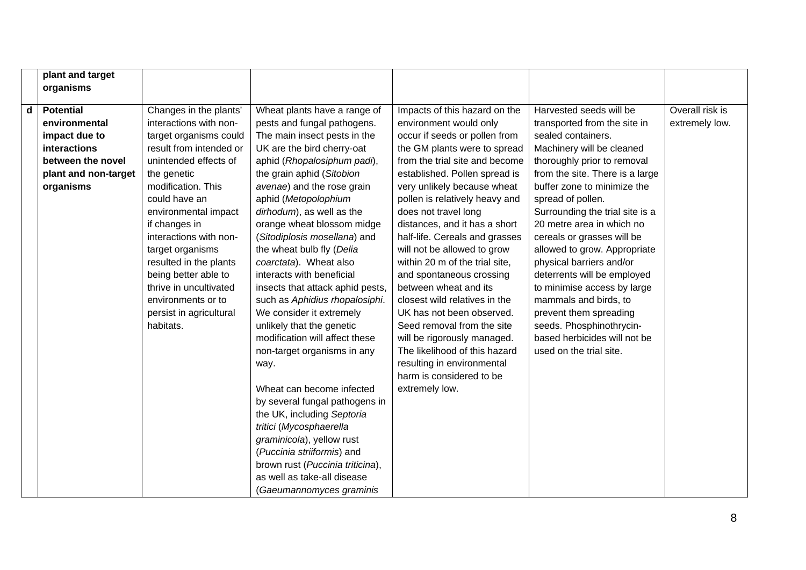|   | plant and target     |                         |                                  |                                |                                 |                 |
|---|----------------------|-------------------------|----------------------------------|--------------------------------|---------------------------------|-----------------|
|   | organisms            |                         |                                  |                                |                                 |                 |
|   |                      |                         |                                  |                                |                                 |                 |
| d | <b>Potential</b>     | Changes in the plants'  | Wheat plants have a range of     | Impacts of this hazard on the  | Harvested seeds will be         | Overall risk is |
|   | environmental        | interactions with non-  | pests and fungal pathogens.      | environment would only         | transported from the site in    | extremely low.  |
|   | impact due to        | target organisms could  | The main insect pests in the     | occur if seeds or pollen from  | sealed containers.              |                 |
|   | interactions         | result from intended or | UK are the bird cherry-oat       | the GM plants were to spread   | Machinery will be cleaned       |                 |
|   | between the novel    | unintended effects of   | aphid (Rhopalosiphum padi),      | from the trial site and become | thoroughly prior to removal     |                 |
|   | plant and non-target | the genetic             | the grain aphid (Sitobion        | established. Pollen spread is  | from the site. There is a large |                 |
|   | organisms            | modification. This      | avenae) and the rose grain       | very unlikely because wheat    | buffer zone to minimize the     |                 |
|   |                      | could have an           | aphid (Metopolophium             | pollen is relatively heavy and | spread of pollen.               |                 |
|   |                      | environmental impact    | dirhodum), as well as the        | does not travel long           | Surrounding the trial site is a |                 |
|   |                      | if changes in           | orange wheat blossom midge       | distances, and it has a short  | 20 metre area in which no       |                 |
|   |                      | interactions with non-  | (Sitodiplosis mosellana) and     | half-life. Cereals and grasses | cereals or grasses will be      |                 |
|   |                      | target organisms        | the wheat bulb fly (Delia        | will not be allowed to grow    | allowed to grow. Appropriate    |                 |
|   |                      | resulted in the plants  | coarctata). Wheat also           | within 20 m of the trial site, | physical barriers and/or        |                 |
|   |                      | being better able to    | interacts with beneficial        | and spontaneous crossing       | deterrents will be employed     |                 |
|   |                      | thrive in uncultivated  | insects that attack aphid pests, | between wheat and its          | to minimise access by large     |                 |
|   |                      | environments or to      | such as Aphidius rhopalosiphi.   | closest wild relatives in the  | mammals and birds, to           |                 |
|   |                      | persist in agricultural | We consider it extremely         | UK has not been observed.      | prevent them spreading          |                 |
|   |                      | habitats.               | unlikely that the genetic        | Seed removal from the site     | seeds. Phosphinothrycin-        |                 |
|   |                      |                         | modification will affect these   | will be rigorously managed.    | based herbicides will not be    |                 |
|   |                      |                         | non-target organisms in any      | The likelihood of this hazard  | used on the trial site.         |                 |
|   |                      |                         | way.                             | resulting in environmental     |                                 |                 |
|   |                      |                         |                                  | harm is considered to be       |                                 |                 |
|   |                      |                         | Wheat can become infected        | extremely low.                 |                                 |                 |
|   |                      |                         | by several fungal pathogens in   |                                |                                 |                 |
|   |                      |                         | the UK, including Septoria       |                                |                                 |                 |
|   |                      |                         | tritici (Mycosphaerella          |                                |                                 |                 |
|   |                      |                         | graminicola), yellow rust        |                                |                                 |                 |
|   |                      |                         | (Puccinia striiformis) and       |                                |                                 |                 |
|   |                      |                         | brown rust (Puccinia triticina), |                                |                                 |                 |
|   |                      |                         | as well as take-all disease      |                                |                                 |                 |
|   |                      |                         | (Gaeumannomyces graminis         |                                |                                 |                 |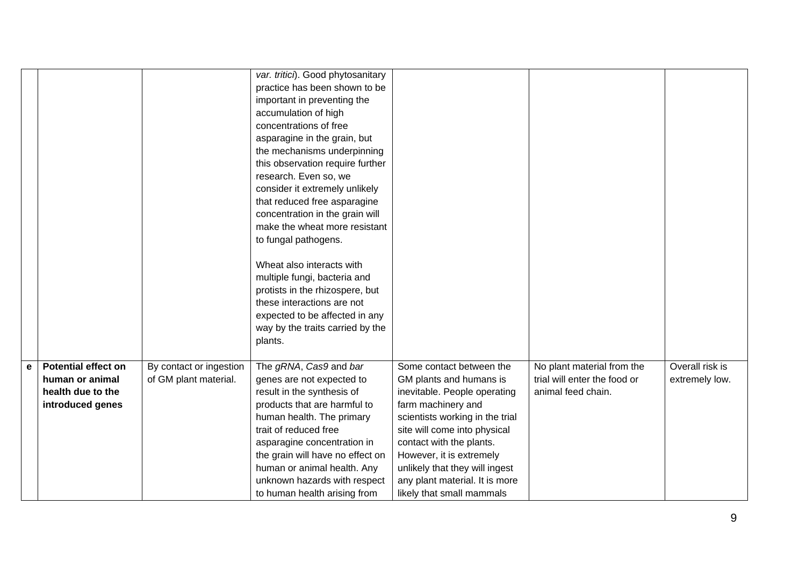|   |                            |                         | var. tritici). Good phytosanitary |                                 |                              |                 |
|---|----------------------------|-------------------------|-----------------------------------|---------------------------------|------------------------------|-----------------|
|   |                            |                         | practice has been shown to be     |                                 |                              |                 |
|   |                            |                         | important in preventing the       |                                 |                              |                 |
|   |                            |                         | accumulation of high              |                                 |                              |                 |
|   |                            |                         | concentrations of free            |                                 |                              |                 |
|   |                            |                         | asparagine in the grain, but      |                                 |                              |                 |
|   |                            |                         | the mechanisms underpinning       |                                 |                              |                 |
|   |                            |                         | this observation require further  |                                 |                              |                 |
|   |                            |                         | research. Even so, we             |                                 |                              |                 |
|   |                            |                         | consider it extremely unlikely    |                                 |                              |                 |
|   |                            |                         | that reduced free asparagine      |                                 |                              |                 |
|   |                            |                         | concentration in the grain will   |                                 |                              |                 |
|   |                            |                         | make the wheat more resistant     |                                 |                              |                 |
|   |                            |                         | to fungal pathogens.              |                                 |                              |                 |
|   |                            |                         |                                   |                                 |                              |                 |
|   |                            |                         | Wheat also interacts with         |                                 |                              |                 |
|   |                            |                         | multiple fungi, bacteria and      |                                 |                              |                 |
|   |                            |                         | protists in the rhizospere, but   |                                 |                              |                 |
|   |                            |                         | these interactions are not        |                                 |                              |                 |
|   |                            |                         | expected to be affected in any    |                                 |                              |                 |
|   |                            |                         | way by the traits carried by the  |                                 |                              |                 |
|   |                            |                         | plants.                           |                                 |                              |                 |
|   |                            |                         |                                   |                                 |                              |                 |
| e | <b>Potential effect on</b> | By contact or ingestion | The gRNA, Cas9 and bar            | Some contact between the        | No plant material from the   | Overall risk is |
|   | human or animal            | of GM plant material.   | genes are not expected to         | GM plants and humans is         | trial will enter the food or | extremely low.  |
|   | health due to the          |                         | result in the synthesis of        | inevitable. People operating    | animal feed chain.           |                 |
|   | introduced genes           |                         | products that are harmful to      | farm machinery and              |                              |                 |
|   |                            |                         | human health. The primary         | scientists working in the trial |                              |                 |
|   |                            |                         | trait of reduced free             | site will come into physical    |                              |                 |
|   |                            |                         | asparagine concentration in       | contact with the plants.        |                              |                 |
|   |                            |                         | the grain will have no effect on  | However, it is extremely        |                              |                 |
|   |                            |                         | human or animal health. Any       | unlikely that they will ingest  |                              |                 |
|   |                            |                         | unknown hazards with respect      | any plant material. It is more  |                              |                 |
|   |                            |                         | to human health arising from      | likely that small mammals       |                              |                 |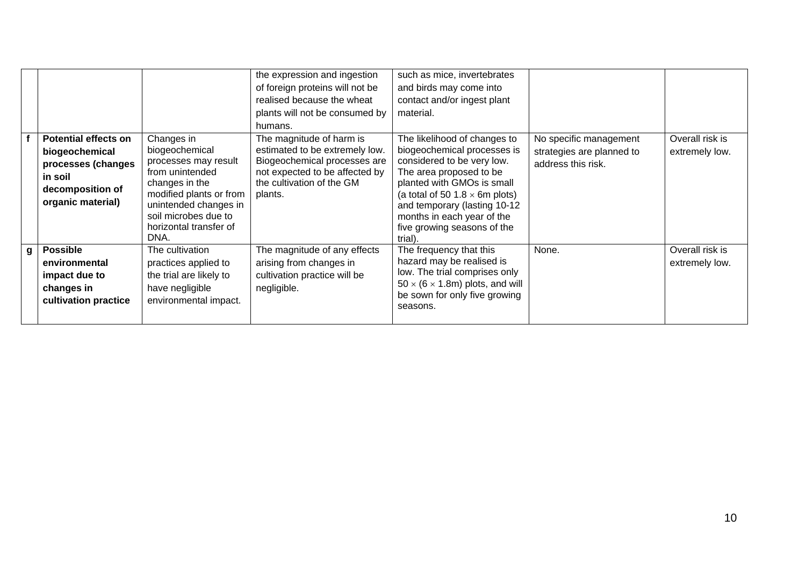|                                                                                                                                 |                                                                                                                                                                                                 | the expression and ingestion<br>of foreign proteins will not be<br>realised because the wheat<br>plants will not be consumed by<br>humans.                           | such as mice, invertebrates<br>and birds may come into<br>contact and/or ingest plant<br>material.                                                                                                                                                                                                  |                                                                           |                                   |
|---------------------------------------------------------------------------------------------------------------------------------|-------------------------------------------------------------------------------------------------------------------------------------------------------------------------------------------------|----------------------------------------------------------------------------------------------------------------------------------------------------------------------|-----------------------------------------------------------------------------------------------------------------------------------------------------------------------------------------------------------------------------------------------------------------------------------------------------|---------------------------------------------------------------------------|-----------------------------------|
| <b>Potential effects on</b><br>biogeochemical<br>processes (changes<br>in soil<br>decomposition of<br>organic material)<br>DNA. | Changes in<br>biogeochemical<br>processes may result<br>from unintended<br>changes in the<br>modified plants or from<br>unintended changes in<br>soil microbes due to<br>horizontal transfer of | The magnitude of harm is<br>estimated to be extremely low.<br>Biogeochemical processes are<br>not expected to be affected by<br>the cultivation of the GM<br>plants. | The likelihood of changes to<br>biogeochemical processes is<br>considered to be very low.<br>The area proposed to be<br>planted with GMOs is small<br>(a total of 50 1.8 $\times$ 6m plots)<br>and temporary (lasting 10-12<br>months in each year of the<br>five growing seasons of the<br>trial). | No specific management<br>strategies are planned to<br>address this risk. | Overall risk is<br>extremely low. |
| <b>Possible</b><br>$\mathbf{g}$<br>environmental<br>impact due to<br>changes in<br>cultivation practice                         | The cultivation<br>practices applied to<br>the trial are likely to<br>have negligible<br>environmental impact.                                                                                  | The magnitude of any effects<br>arising from changes in<br>cultivation practice will be<br>negligible.                                                               | The frequency that this<br>hazard may be realised is<br>low. The trial comprises only<br>$50 \times (6 \times 1.8m)$ plots, and will<br>be sown for only five growing<br>seasons.                                                                                                                   | None.                                                                     | Overall risk is<br>extremely low. |